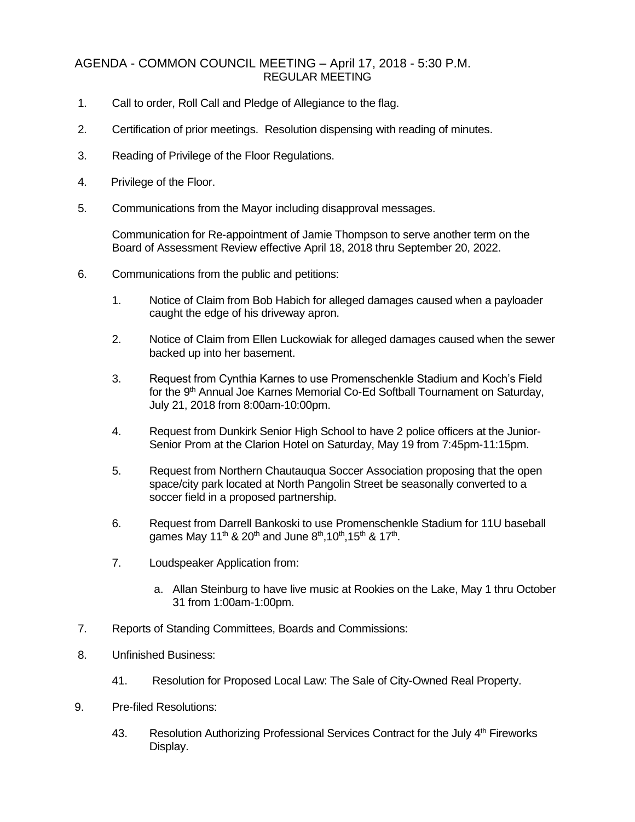## AGENDA - COMMON COUNCIL MEETING – April 17, 2018 - 5:30 P.M. REGULAR MEETING

- 1. Call to order, Roll Call and Pledge of Allegiance to the flag.
- 2. Certification of prior meetings. Resolution dispensing with reading of minutes.
- 3. Reading of Privilege of the Floor Regulations.
- 4. Privilege of the Floor.
- 5. Communications from the Mayor including disapproval messages.

Communication for Re-appointment of Jamie Thompson to serve another term on the Board of Assessment Review effective April 18, 2018 thru September 20, 2022.

- 6. Communications from the public and petitions:
	- 1. Notice of Claim from Bob Habich for alleged damages caused when a payloader caught the edge of his driveway apron.
	- 2. Notice of Claim from Ellen Luckowiak for alleged damages caused when the sewer backed up into her basement.
	- 3. Request from Cynthia Karnes to use Promenschenkle Stadium and Koch's Field for the 9<sup>th</sup> Annual Joe Karnes Memorial Co-Ed Softball Tournament on Saturday, July 21, 2018 from 8:00am-10:00pm.
	- 4. Request from Dunkirk Senior High School to have 2 police officers at the Junior-Senior Prom at the Clarion Hotel on Saturday, May 19 from 7:45pm-11:15pm.
	- 5. Request from Northern Chautauqua Soccer Association proposing that the open space/city park located at North Pangolin Street be seasonally converted to a soccer field in a proposed partnership.
	- 6. Request from Darrell Bankoski to use Promenschenkle Stadium for 11U baseball games May 11<sup>th</sup> & 20<sup>th</sup> and June 8<sup>th</sup>,10<sup>th</sup>,15<sup>th</sup> & 17<sup>th</sup>.
	- 7. Loudspeaker Application from:
		- a. Allan Steinburg to have live music at Rookies on the Lake, May 1 thru October 31 from 1:00am-1:00pm.
- 7. Reports of Standing Committees, Boards and Commissions:
- 8. Unfinished Business:
	- 41. Resolution for Proposed Local Law: The Sale of City-Owned Real Property.
- 9. Pre-filed Resolutions:
	- 43. Resolution Authorizing Professional Services Contract for the July  $4<sup>th</sup>$  Fireworks Display.